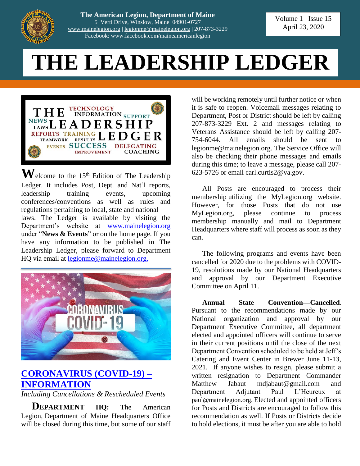

**The American Legion, Department of Maine** 5 Verti Drive, Winslow, Maine 04901-0727 [www.mainelegion.org](http://www.mainelegion.org/) | [legionme@mainelegion.org](mailto:legionme@mainelegion.org) | 207-873-3229 Facebook: www.facebook.com/maineamericanlegion

Volume 1 Issue 15 April 23, 2020

# **THE LEADERSHIP LEDGER**



 $\mathbf{W}$ elcome to the 15<sup>th</sup> Edition of The Leadership Ledger. It includes Post, Dept. and Nat'l reports, leadership training events, upcoming conferences/conventions as well as rules and regulations pertaining to local, state and national laws. The Ledger is available by visiting the Department's website at [www.mainelegion.org](http://www.mainelegion.org/) under "**News & Events**" or on the home page. If you have any information to be published in The Leadership Ledger, please forward to Department HQ via email at [legionme@mainelegion.org.](mailto:legionme@mainelegion.org)



# **[CORONAVIRUS \(COVID-19\)](http://www.mainelegion.org/pages/news-events/covid-19-info.php) – [INFORMATION](http://www.mainelegion.org/pages/news-events/covid-19-info.php)**

*Including Cancellations & Rescheduled Events*

**DEPARTMENT HQ:** The American Legion, Department of Maine Headquarters Office will be closed during this time, but some of our staff

will be working remotely until further notice or when it is safe to reopen. Voicemail messages relating to Department, Post or District should be left by calling 207-873-3229 Ext. 2 and messages relating to Veterans Assistance should be left by calling 207- 754-6044. All emails should be sent to legionme@mainelegion.org. The Service Office will also be checking their phone messages and emails during this time; to leave a message, please call 207- 623-5726 or email carl.curtis2@va.gov.

All Posts are encouraged to process their membership utilizing the MyLegion.org website. However, for those Posts that do not use MyLegion.org, please continue to process membership manually and mail to Department Headquarters where staff will process as soon as they can.

The following programs and events have been cancelled for 2020 due to the problems with COVID-19, resolutions made by our National Headquarters and approval by our Department Executive Committee on April 11.

**Annual State Convention—Cancelled**. Pursuant to the recommendations made by our National organization and approval by our Department Executive Committee, all department elected and appointed officers will continue to serve in their current positions until the close of the next Department Convention scheduled to be held at Jeff's Catering and Event Center in Brewer June 11-13, 2021. If anyone wishes to resign, please submit a written resignation to Department Commander Matthew Jabaut mdjabaut@gmail.com and Department Adjutant Paul L'Heureux at paul@mainelegion.org. Elected and appointed officers for Posts and Districts are encouraged to follow this recommendation as well. If Posts or Districts decide to hold elections, it must be after you are able to hold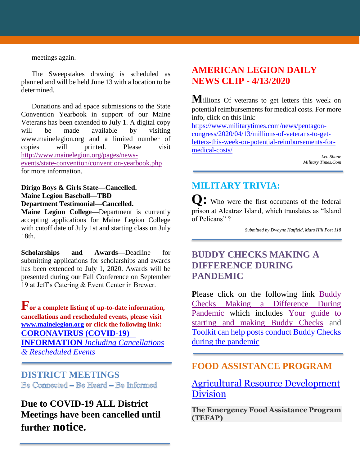meetings again.

The Sweepstakes drawing is scheduled as planned and will be held June 13 with a location to be determined.

Donations and ad space submissions to the State Convention Yearbook in support of our Maine Veterans has been extended to July 1. A digital copy will be made available by visiting www.mainelegion.org and a limited number of copies will printed. Please visit [http://www.mainelegion.org/pages/news](http://www.mainelegion.org/pages/news-events/state-convention/convention-yearbook.php)[events/state-convention/convention-yearbook.php](http://www.mainelegion.org/pages/news-events/state-convention/convention-yearbook.php) for more information.

**Dirigo Boys & Girls State—Cancelled. Maine Legion Baseball—TBD Department Testimonial—Cancelled.**

**Maine Legion College—**Department is currently accepting applications for Maine Legion College with cutoff date of July 1st and starting class on July 18th.

**Scholarships and Awards—**Deadline for submitting applications for scholarships and awards has been extended to July 1, 2020. Awards will be presented during our Fall Conference on September 19 at Jeff's Catering & Event Center in Brewer.

**For a complete listing of up-to-date information, cancellations and rescheduled events, please visit [www.mainelegion.org](http://www.mainelegion.org/) or click the following link: [CORONAVIRUS \(COVID-19\)](http://www.mainelegion.org/pages/news-events/covid-19-info.php) – INFORMATION** *[Including Cancellations](http://www.mainelegion.org/pages/news-events/covid-19-info.php)  [& Rescheduled Events](http://www.mainelegion.org/pages/news-events/covid-19-info.php)*

**DISTRICT MEETINGS** Be Connected - Be Heard - Be Informed

# **Due to COVID-19 ALL District Meetings have been cancelled until further notice.**

# **AMERICAN LEGION DAILY NEWS CLIP - 4/13/2020**

**M**illions Of veterans to get letters this week on potential reimbursements for medical costs. For more info, click on this link:

[https://www.militarytimes.com/news/pentagon](https://www.militarytimes.com/news/pentagon-congress/2020/04/13/millions-of-veterans-to-get-letters-this-week-on-potential-reimbursements-for-medical-costs/)[congress/2020/04/13/millions-of-veterans-to-get](https://www.militarytimes.com/news/pentagon-congress/2020/04/13/millions-of-veterans-to-get-letters-this-week-on-potential-reimbursements-for-medical-costs/)[letters-this-week-on-potential-reimbursements-for](https://www.militarytimes.com/news/pentagon-congress/2020/04/13/millions-of-veterans-to-get-letters-this-week-on-potential-reimbursements-for-medical-costs/)[medical-costs/](https://www.militarytimes.com/news/pentagon-congress/2020/04/13/millions-of-veterans-to-get-letters-this-week-on-potential-reimbursements-for-medical-costs/)

> *Leo Shane Military Times.Com*

# **MILITARY TRIVIA:**

**Q:** Who were the first occupants of the federal prison at Alcatraz Island, which translates as "Island of Pelicans" ?

*Submitted by Dwayne Hatfield, Mars Hill Post 118*

# **BUDDY CHECKS MAKING A DIFFERENCE DURING PANDEMIC**

**P**lease click on the following link [Buddy](https://editor.legionemail.com/vo/?FileID=92a4f0e0-b642-4e44-adcc-173407caded1&m=82d0e11f-f596-41f0-a960-9e19840f46df&MailID=39372314&listid=84772&RecipientID=19142040036)  [Checks Making a Difference During](https://editor.legionemail.com/vo/?FileID=92a4f0e0-b642-4e44-adcc-173407caded1&m=82d0e11f-f596-41f0-a960-9e19840f46df&MailID=39372314&listid=84772&RecipientID=19142040036)  [Pandemic](https://editor.legionemail.com/vo/?FileID=92a4f0e0-b642-4e44-adcc-173407caded1&m=82d0e11f-f596-41f0-a960-9e19840f46df&MailID=39372314&listid=84772&RecipientID=19142040036) which includes [Your guide to](https://www.legion.org/membership/248690/your-guide-starting-and-making-buddy-checks)  [starting and making Buddy Checks](https://www.legion.org/membership/248690/your-guide-starting-and-making-buddy-checks) and [Toolkit can help posts conduct Buddy Checks](https://www.legion.org/membership/248657/toolkit-can-help-posts-conduct-buddy-checks-during-pandemic)  [during the pandemic](https://www.legion.org/membership/248657/toolkit-can-help-posts-conduct-buddy-checks-during-pandemic)

## **FOOD ASSISTANCE PROGRAM**

## [Agricultural Resource Development](https://www.maine.gov/dacf/ard/tefap/index.shtml)  **[Division](https://www.maine.gov/dacf/ard/tefap/index.shtml)**

**The Emergency Food Assistance Program (TEFAP)**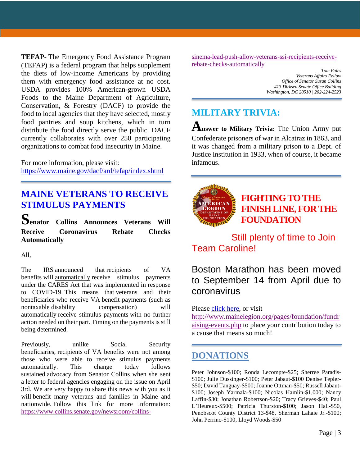**TEFAP-** The Emergency Food Assistance Program (TEFAP) is a federal program that helps supplement the diets of low-income Americans by providing them with emergency food assistance at no cost. USDA provides 100% American-grown USDA Foods to the Maine Department of Agriculture, Conservation, & Forestry (DACF) to provide the food to local agencies that they have selected, mostly food pantries and soup kitchens, which in turn distribute the food directly serve the public. DACF currently collaborates with over 250 participating organizations to combat food insecurity in Maine.

For more information, please visit: <https://www.maine.gov/dacf/ard/tefap/index.shtml>

### **MAINE VETERANS TO RECEIVE STIMULUS PAYMENTS**

**Senator Collins Announces Veterans Will Receive Coronavirus Rebate Checks Automatically**

All,

The IRS announced that recipients of VA benefits will automatically receive stimulus payments under the CARES Act that was implemented in response to COVID-19. This means that veterans and their beneficiaries who receive VA benefit payments (such as nontaxable disability compensation) will automatically receive stimulus payments with no further action needed on their part. Timing on the payments is still being determined.

Previously, unlike Social Security beneficiaries, recipients of VA benefits were not among those who were able to receive stimulus payments automatically. This change today follows sustained advocacy from Senator Collins when she sent a letter to federal agencies engaging on the issue on April 3rd. We are very happy to share this news with you as it will benefit many veterans and families in Maine and nationwide. Follow this link for more information: [https://www.collins.senate.gov/newsroom/collins-](https://www.collins.senate.gov/newsroom/collins-sinema-lead-push-allow-veterans-ssi-recipients-receive-rebate-checks-automatically)

[sinema-lead-push-allow-veterans-ssi-recipients-receive](https://www.collins.senate.gov/newsroom/collins-sinema-lead-push-allow-veterans-ssi-recipients-receive-rebate-checks-automatically)[rebate-checks-automatically](https://www.collins.senate.gov/newsroom/collins-sinema-lead-push-allow-veterans-ssi-recipients-receive-rebate-checks-automatically)

> *Tom Fales Veterans Affairs Fellow Office of Senator Susan Collins 413 Dirksen Senate Office Building Washington, DC 20510 | 202-224-2523*

# **MILITARY TRIVIA:**

**Answer to Military Trivia:** The Union Army put Confederate prisoners of war in Alcatraz in 1863, and it was changed from a military prison to a Dept. of Justice Institution in 1933, when of course, it became infamous.



# **[FIGHTING TO THE](https://www.gofundme.com/f/5hx779-a-cause-i-care-about-needs-help?utm_source=customer&utm_medium=copy_link&utm_campaign=p_cf+share-flow-1)  [FINISH LINE, FOR THE](https://www.gofundme.com/f/5hx779-a-cause-i-care-about-needs-help?utm_source=customer&utm_medium=copy_link&utm_campaign=p_cf+share-flow-1)  [FOUNDATION](https://www.gofundme.com/f/5hx779-a-cause-i-care-about-needs-help?utm_source=customer&utm_medium=copy_link&utm_campaign=p_cf+share-flow-1)**

# Still plenty of time to Join Team Caroline!

# Boston Marathon has been moved to September 14 from April due to coronavirus

#### Please [click here,](https://www.gofundme.com/f/5hx779-a-cause-i-care-about-needs-help?utm_source=customer&utm_medium=copy_link&utm_campaign=p_cf+share-flow-1) or visit

[http://www.mainelegion.org/pages/foundation/fundr](http://www.mainelegion.org/pages/foundation/fundraising-events.php) [aising-events.php](http://www.mainelegion.org/pages/foundation/fundraising-events.php) to place your contribution today to a cause that means so much!

### **DONATIONS**

Peter Johnson-\$100; Ronda Lecompte-\$25; Sherree Paradis- \$100; Julie Dussinger-\$100; Peter Jabaut-\$100 Denise Tepler- \$50; David Tanguay-\$500; Joanne Ottman-\$50; Russell Jabaut- \$100; Joseph Yarmala-\$100; Nicolas Hamlin-\$1,000; Nancy Laffin-\$30; Jonathan Robertson-\$20; Tracy Grieves-\$40; Paul L'Heureux-\$500; Patricia Thurston-\$100; Jason Hall-\$50, Penobscot County District 13-\$48, Sherman Lahaie Jr.-\$100; John Perrino-\$100, Lloyd Woods-\$50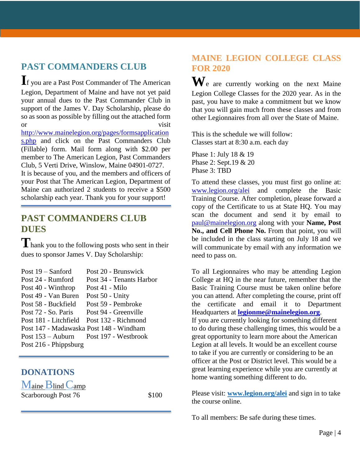# **PAST COMMANDERS CLUB**

**I**f you are a Past Post Commander of The American Legion, Department of Maine and have not yet paid your annual dues to the Past Commander Club in support of the James V. Day Scholarship, please do so as soon as possible by filling out the attached form or visit

[http://www.mainelegion.org/pages/formsapplication](http://www.mainelegion.org/pages/formsapplications.php) [s.php](http://www.mainelegion.org/pages/formsapplications.php) and click on the Past Commanders Club (Fillable) form. Mail form along with \$2.00 per member to The American Legion, Past Commanders Club, 5 Verti Drive, Winslow, Maine 04901-0727. It is because of you, and the members and officers of your Post that The American Legion, Department of Maine can authorized 2 students to receive a \$500 scholarship each year. Thank you for your support!

### **PAST COMMANDERS CLUB DUES**

# **T**hank you to the following posts who sent in their dues to sponsor James V. Day Scholarship:

| Post $19 -$ Sanford                      | Post 20 - Brunswick      |
|------------------------------------------|--------------------------|
| Post 24 - Rumford                        | Post 34 - Tenants Harbor |
| Post 40 - Winthrop                       | Post 41 - Milo           |
| Post 49 - Van Buren                      | Post 50 - Unity          |
| Post 58 - Buckfield                      | Post 59 - Pembroke       |
| Post 72 - So. Paris                      | Post 94 - Greenville     |
| Post 181 - Litchfield                    | Post 132 - Richmond      |
| Post 147 - Madawaska Post 148 - Windham  |                          |
| Post $153 -$ Auburn Post 197 - Westbrook |                          |
| Post 216 - Phippsburg                    |                          |
|                                          |                          |

### **DONATIONS**

Maine Blind Camp Scarborough Post 76 \$100

### **MAINE LEGION COLLEGE CLASS FOR 2020**

**W**e are currently working on the next Maine Legion College Classes for the 2020 year. As in the past, you have to make a commitment but we know that you will gain much from these classes and from other Legionnaires from all over the State of Maine.

This is the schedule we will follow: Classes start at 8:30 a.m. each day

Phase 1: July 18 & 19 Phase 2: Sept.19 & 20 Phase 3: TBD

To attend these classes, you must first go online at: [www.legion.org/alei](http://www.legion.org/alei) and complete the Basic Training Course. After completion, please forward a copy of the Certificate to us at State HQ. You may scan the document and send it by email to [paul@mainelegion.org](mailto:paul@mainelegion.org) along with your **Name, Post No., and Cell Phone No.** From that point, you will be included in the class starting on July 18 and we will communicate by email with any information we need to pass on.

To all Legionnaires who may be attending Legion College at HQ in the near future, remember that the Basic Training Course must be taken online before you can attend. After completing the course, print off the certificate and email it to Department Headquarters at **[legionme@mainelegion.org](mailto:legionme@mainelegion.org)**. If you are currently looking for something different to do during these challenging times, this would be a great opportunity to learn more about the American Legion at all levels. It would be an excellent course to take if you are currently or considering to be an officer at the Post or District level. This would be a great learning experience while you are currently at home wanting something different to do.

Please visit: **[www.legion.org/alei](http://www.legion.org/alei)** and sign in to take the course online.

To all members: Be safe during these times.